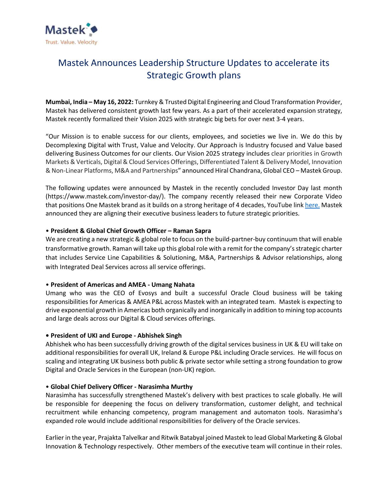

# Mastek Announces Leadership Structure Updates to accelerate its Strategic Growth plans

**Mumbai, India – May 16, 2022:** Turnkey & Trusted Digital Engineering and Cloud Transformation Provider, Mastek has delivered consistent growth last few years. As a part of their accelerated expansion strategy, Mastek recently formalized their Vision 2025 with strategic big bets for over next 3-4 years.

"Our Mission is to enable success for our clients, employees, and societies we live in. We do this by Decomplexing Digital with Trust, Value and Velocity. Our Approach is Industry focused and Value based delivering Business Outcomes for our clients. Our Vision 2025 strategy includes clear priorities in Growth Markets & Verticals, Digital & Cloud Services Offerings, Differentiated Talent & Delivery Model, Innovation & Non-Linear Platforms, M&A and Partnerships" announced Hiral Chandrana, Global CEO – Mastek Group.

The following updates were announced by Mastek in the recently concluded Investor Day last month (https://www.mastek.com/investor-day/). The company recently released their new Corporate Video that positions One Mastek brand as it builds on a strong heritage of 4 decades, YouTube link [here.](https://youtu.be/v_Kv45NzAws) Mastek announced they are aligning their executive business leaders to future strategic priorities.

## • **President & Global Chief Growth Officer – Raman Sapra**

We are creating a new strategic & global role to focus on the build-partner-buy continuum that will enable transformative growth. Raman will take up this global role with a remit for the company's strategic charter that includes Service Line Capabilities & Solutioning, M&A, Partnerships & Advisor relationships, along with Integrated Deal Services across all service offerings.

#### • **President of Americas and AMEA - Umang Nahata**

Umang who was the CEO of Evosys and built a successful Oracle Cloud business will be taking responsibilities for Americas & AMEA P&L across Mastek with an integrated team. Mastek is expecting to drive exponential growth in Americas both organically and inorganically in addition to mining top accounts and large deals across our Digital & Cloud services offerings.

## **• President of UKI and Europe - Abhishek Singh**

Abhishek who has been successfully driving growth of the digital services business in UK & EU will take on additional responsibilities for overall UK, Ireland & Europe P&L including Oracle services. He will focus on scaling and integrating UK business both public & private sector while setting a strong foundation to grow Digital and Oracle Services in the European (non-UK) region.

#### • **Global Chief Delivery Officer - Narasimha Murthy**

Narasimha has successfully strengthened Mastek's delivery with best practices to scale globally. He will be responsible for deepening the focus on delivery transformation, customer delight, and technical recruitment while enhancing competency, program management and automaton tools. Narasimha's expanded role would include additional responsibilities for delivery of the Oracle services.

Earlier in the year, Prajakta Talvelkar and Ritwik Batabyal joined Mastek to lead Global Marketing & Global Innovation & Technology respectively. Other members of the executive team will continue in their roles.